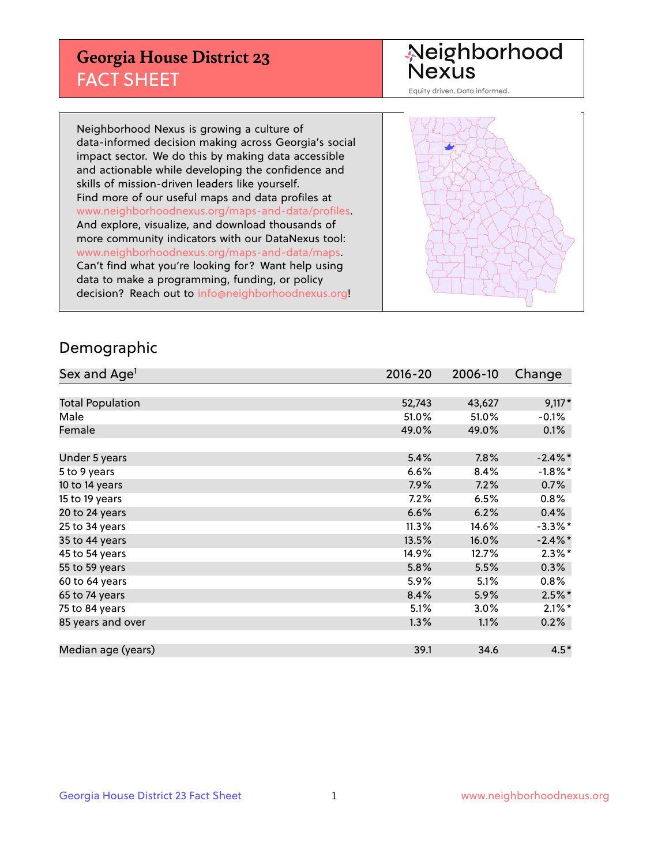## **Georgia House District 23** FACT SHEET

# Neighborhood<br>Nexus

Equity driven. Data informed.

Neighborhood Nexus is growing a culture of data-informed decision making across Georgia's social impact sector. We do this by making data accessible and actionable while developing the confidence and skills of mission-driven leaders like yourself. Find more of our useful maps and data profiles at www.neighborhoodnexus.org/maps-and-data/profiles. And explore, visualize, and download thousands of more community indicators with our DataNexus tool: www.neighborhoodnexus.org/maps-and-data/maps. Can't find what you're looking for? Want help using data to make a programming, funding, or policy decision? Reach out to [info@neighborhoodnexus.org!](mailto:info@neighborhoodnexus.org)



#### Demographic

| Sex and Age <sup>1</sup> | $2016 - 20$ | 2006-10 | Change     |
|--------------------------|-------------|---------|------------|
|                          |             |         |            |
| <b>Total Population</b>  | 52,743      | 43,627  | $9,117*$   |
| Male                     | 51.0%       | 51.0%   | $-0.1\%$   |
| Female                   | 49.0%       | 49.0%   | 0.1%       |
|                          |             |         |            |
| Under 5 years            | 5.4%        | 7.8%    | $-2.4\%$ * |
| 5 to 9 years             | 6.6%        | 8.4%    | $-1.8\%$ * |
| 10 to 14 years           | 7.9%        | 7.2%    | 0.7%       |
| 15 to 19 years           | 7.2%        | 6.5%    | 0.8%       |
| 20 to 24 years           | 6.6%        | 6.2%    | 0.4%       |
| 25 to 34 years           | 11.3%       | 14.6%   | $-3.3\%$ * |
| 35 to 44 years           | 13.5%       | 16.0%   | $-2.4\%$ * |
| 45 to 54 years           | 14.9%       | 12.7%   | $2.3\%$ *  |
| 55 to 59 years           | 5.8%        | 5.5%    | 0.3%       |
| 60 to 64 years           | 5.9%        | 5.1%    | $0.8\%$    |
| 65 to 74 years           | 8.4%        | 5.9%    | $2.5%$ *   |
| 75 to 84 years           | 5.1%        | 3.0%    | $2.1\%$ *  |
| 85 years and over        | 1.3%        | 1.1%    | 0.2%       |
|                          |             |         |            |
| Median age (years)       | 39.1        | 34.6    | $4.5*$     |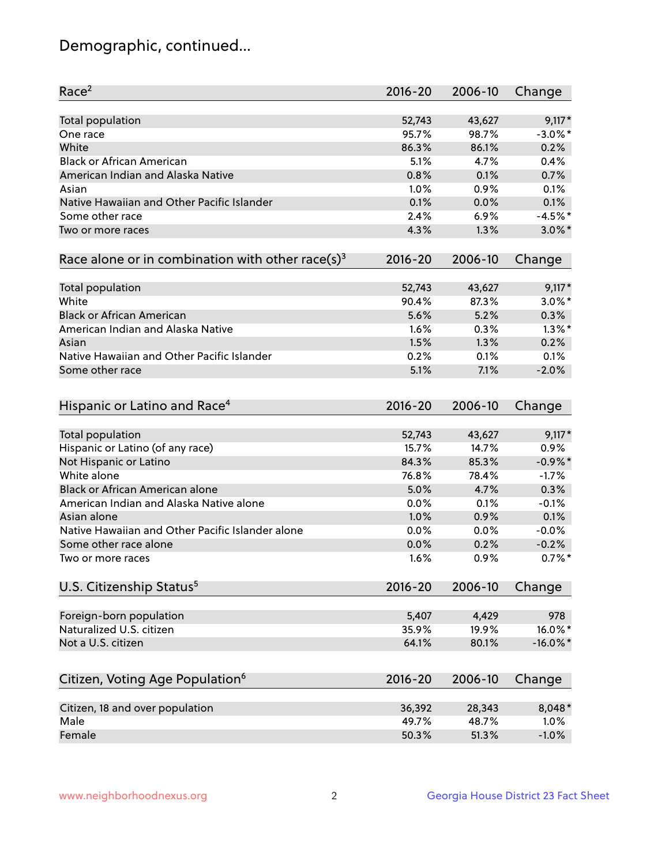## Demographic, continued...

| Race <sup>2</sup>                                            | $2016 - 20$  | 2006-10      | Change             |
|--------------------------------------------------------------|--------------|--------------|--------------------|
| <b>Total population</b>                                      | 52,743       | 43,627       | $9,117*$           |
| One race                                                     | 95.7%        | 98.7%        | $-3.0\%$ *         |
| White                                                        | 86.3%        | 86.1%        | 0.2%               |
| <b>Black or African American</b>                             | 5.1%         | 4.7%         | 0.4%               |
| American Indian and Alaska Native                            | 0.8%         | 0.1%         | 0.7%               |
| Asian                                                        | 1.0%         | 0.9%         | 0.1%               |
| Native Hawaiian and Other Pacific Islander                   | 0.1%         | 0.0%         | 0.1%               |
| Some other race                                              | 2.4%         | 6.9%         | $-4.5%$ *          |
| Two or more races                                            | 4.3%         | 1.3%         | $3.0\%$ *          |
| Race alone or in combination with other race(s) <sup>3</sup> | $2016 - 20$  | 2006-10      | Change             |
|                                                              |              |              |                    |
| Total population                                             | 52,743       | 43,627       | $9,117*$           |
| White                                                        | 90.4%        | 87.3%        | $3.0\%$ *          |
| <b>Black or African American</b>                             | 5.6%         | 5.2%         | 0.3%               |
| American Indian and Alaska Native                            | 1.6%         | 0.3%         | $1.3\%$ *          |
| Asian                                                        | 1.5%         | 1.3%         | 0.2%               |
| Native Hawaiian and Other Pacific Islander                   | 0.2%         | 0.1%         | 0.1%               |
| Some other race                                              | 5.1%         | 7.1%         | $-2.0%$            |
| Hispanic or Latino and Race <sup>4</sup>                     | $2016 - 20$  | 2006-10      | Change             |
| <b>Total population</b>                                      | 52,743       | 43,627       | $9,117*$           |
| Hispanic or Latino (of any race)                             | 15.7%        | 14.7%        | 0.9%               |
| Not Hispanic or Latino                                       | 84.3%        | 85.3%        | $-0.9\%$ *         |
| White alone                                                  | 76.8%        | 78.4%        | $-1.7%$            |
| <b>Black or African American alone</b>                       | 5.0%         | 4.7%         | 0.3%               |
| American Indian and Alaska Native alone                      | 0.0%         | 0.1%         | $-0.1%$            |
| Asian alone                                                  | 1.0%         | 0.9%         | 0.1%               |
| Native Hawaiian and Other Pacific Islander alone             |              |              |                    |
|                                                              | 0.0%         | 0.0%         | $-0.0%$<br>$-0.2%$ |
| Some other race alone<br>Two or more races                   | 0.0%<br>1.6% | 0.2%<br>0.9% | $0.7%$ *           |
|                                                              |              |              |                    |
| U.S. Citizenship Status <sup>5</sup>                         | $2016 - 20$  | 2006-10      | Change             |
| Foreign-born population                                      | 5,407        | 4,429        | 978                |
| Naturalized U.S. citizen                                     | 35.9%        | 19.9%        | 16.0%*             |
| Not a U.S. citizen                                           | 64.1%        | 80.1%        | $-16.0\%$ *        |
|                                                              |              |              |                    |
| Citizen, Voting Age Population <sup>6</sup>                  | $2016 - 20$  | 2006-10      | Change             |
| Citizen, 18 and over population                              | 36,392       | 28,343       | 8,048*             |
| Male                                                         | 49.7%        | 48.7%        | 1.0%               |
| Female                                                       | 50.3%        | 51.3%        | $-1.0%$            |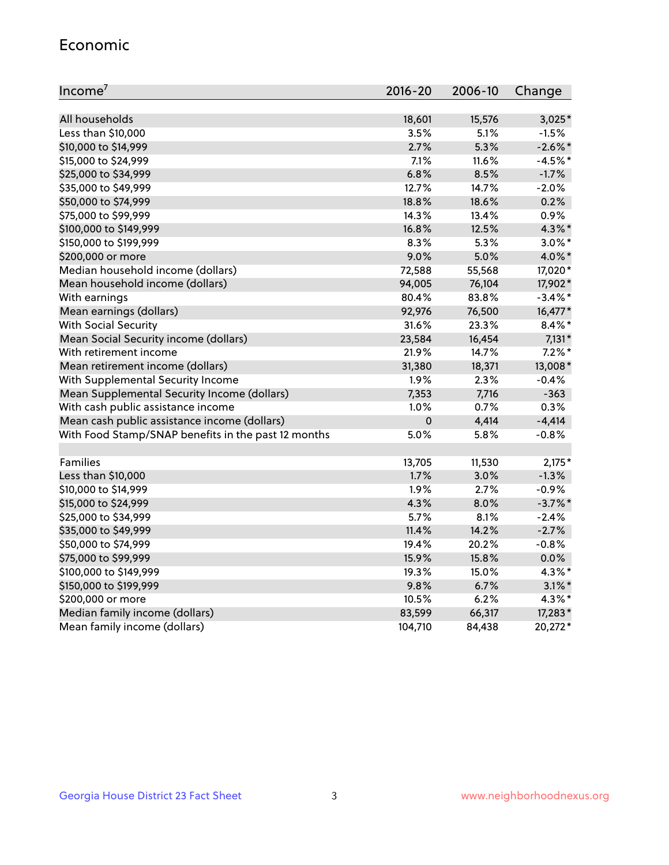#### Economic

| Income <sup>7</sup>                                 | $2016 - 20$ | 2006-10 | Change     |
|-----------------------------------------------------|-------------|---------|------------|
|                                                     |             |         |            |
| All households                                      | 18,601      | 15,576  | $3,025*$   |
| Less than \$10,000                                  | 3.5%        | 5.1%    | $-1.5%$    |
| \$10,000 to \$14,999                                | 2.7%        | 5.3%    | $-2.6\%$ * |
| \$15,000 to \$24,999                                | 7.1%        | 11.6%   | $-4.5%$ *  |
| \$25,000 to \$34,999                                | 6.8%        | 8.5%    | $-1.7%$    |
| \$35,000 to \$49,999                                | 12.7%       | 14.7%   | $-2.0%$    |
| \$50,000 to \$74,999                                | 18.8%       | 18.6%   | 0.2%       |
| \$75,000 to \$99,999                                | 14.3%       | 13.4%   | 0.9%       |
| \$100,000 to \$149,999                              | 16.8%       | 12.5%   | 4.3%*      |
| \$150,000 to \$199,999                              | 8.3%        | 5.3%    | $3.0\%$ *  |
| \$200,000 or more                                   | 9.0%        | 5.0%    | 4.0%*      |
| Median household income (dollars)                   | 72,588      | 55,568  | 17,020*    |
| Mean household income (dollars)                     | 94,005      | 76,104  | 17,902*    |
| With earnings                                       | 80.4%       | 83.8%   | $-3.4\%$ * |
| Mean earnings (dollars)                             | 92,976      | 76,500  | 16,477*    |
| <b>With Social Security</b>                         | 31.6%       | 23.3%   | $8.4\%$ *  |
| Mean Social Security income (dollars)               | 23,584      | 16,454  | $7,131*$   |
| With retirement income                              | 21.9%       | 14.7%   | $7.2\%$ *  |
| Mean retirement income (dollars)                    | 31,380      | 18,371  | 13,008*    |
| With Supplemental Security Income                   | 1.9%        | $2.3\%$ | $-0.4%$    |
| Mean Supplemental Security Income (dollars)         | 7,353       | 7,716   | $-363$     |
| With cash public assistance income                  | 1.0%        | 0.7%    | 0.3%       |
| Mean cash public assistance income (dollars)        | $\mathbf 0$ | 4,414   | $-4,414$   |
| With Food Stamp/SNAP benefits in the past 12 months | 5.0%        | 5.8%    | $-0.8%$    |
|                                                     |             |         |            |
| Families                                            | 13,705      | 11,530  | $2,175*$   |
| Less than \$10,000                                  | 1.7%        | 3.0%    | $-1.3%$    |
| \$10,000 to \$14,999                                | 1.9%        | 2.7%    | $-0.9%$    |
| \$15,000 to \$24,999                                | 4.3%        | 8.0%    | $-3.7%$ *  |
| \$25,000 to \$34,999                                | 5.7%        | 8.1%    | $-2.4%$    |
| \$35,000 to \$49,999                                | 11.4%       | 14.2%   | $-2.7%$    |
| \$50,000 to \$74,999                                | 19.4%       | 20.2%   | $-0.8%$    |
| \$75,000 to \$99,999                                | 15.9%       | 15.8%   | 0.0%       |
| \$100,000 to \$149,999                              | 19.3%       | 15.0%   | 4.3%*      |
| \$150,000 to \$199,999                              | 9.8%        | 6.7%    | $3.1\%$ *  |
| \$200,000 or more                                   | 10.5%       | 6.2%    | 4.3%*      |
| Median family income (dollars)                      | 83,599      | 66,317  | 17,283*    |
| Mean family income (dollars)                        | 104,710     | 84,438  | 20,272*    |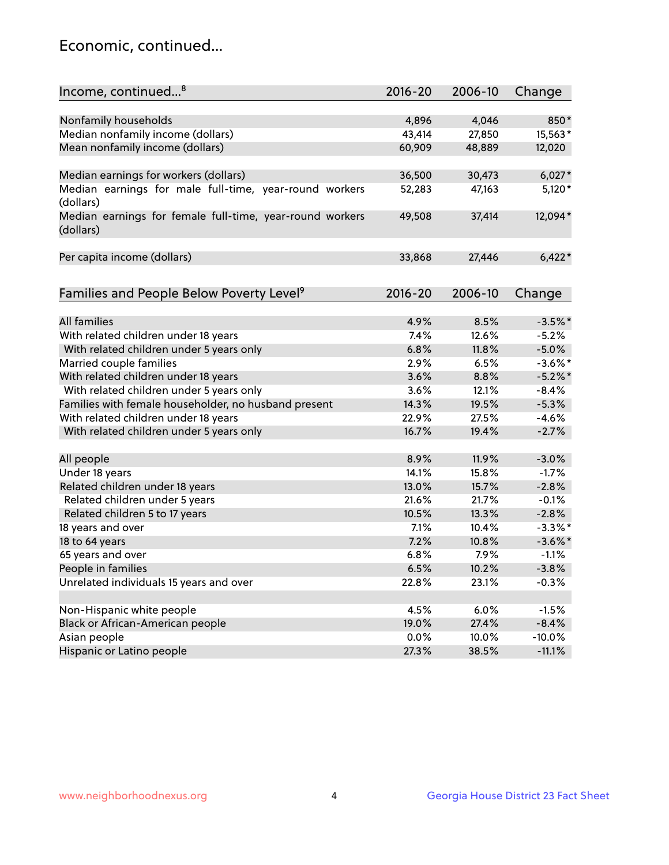## Economic, continued...

| Income, continued <sup>8</sup>                                        | $2016 - 20$ | 2006-10 | Change     |
|-----------------------------------------------------------------------|-------------|---------|------------|
|                                                                       |             |         |            |
| Nonfamily households                                                  | 4,896       | 4,046   | 850*       |
| Median nonfamily income (dollars)                                     | 43,414      | 27,850  | 15,563*    |
| Mean nonfamily income (dollars)                                       | 60,909      | 48,889  | 12,020     |
| Median earnings for workers (dollars)                                 | 36,500      | 30,473  | $6,027*$   |
| Median earnings for male full-time, year-round workers                | 52,283      | 47,163  | $5,120*$   |
| (dollars)                                                             |             |         |            |
| Median earnings for female full-time, year-round workers<br>(dollars) | 49,508      | 37,414  | 12,094*    |
| Per capita income (dollars)                                           | 33,868      | 27,446  | $6,422*$   |
|                                                                       |             |         |            |
| Families and People Below Poverty Level <sup>9</sup>                  | $2016 - 20$ | 2006-10 | Change     |
|                                                                       |             |         |            |
| <b>All families</b>                                                   | 4.9%        | 8.5%    | $-3.5%$ *  |
| With related children under 18 years                                  | 7.4%        | 12.6%   | $-5.2%$    |
| With related children under 5 years only                              | 6.8%        | 11.8%   | $-5.0%$    |
| Married couple families                                               | 2.9%        | 6.5%    | $-3.6\%$ * |
| With related children under 18 years                                  | 3.6%        | 8.8%    | $-5.2%$    |
| With related children under 5 years only                              | 3.6%        | 12.1%   | $-8.4%$    |
| Families with female householder, no husband present                  | 14.3%       | 19.5%   | $-5.3%$    |
| With related children under 18 years                                  | 22.9%       | 27.5%   | $-4.6%$    |
| With related children under 5 years only                              | 16.7%       | 19.4%   | $-2.7%$    |
|                                                                       | 8.9%        | 11.9%   | $-3.0%$    |
| All people<br>Under 18 years                                          | 14.1%       | 15.8%   | $-1.7%$    |
|                                                                       |             |         |            |
| Related children under 18 years                                       | 13.0%       | 15.7%   | $-2.8%$    |
| Related children under 5 years                                        | 21.6%       | 21.7%   | $-0.1%$    |
| Related children 5 to 17 years                                        | 10.5%       | 13.3%   | $-2.8%$    |
| 18 years and over                                                     | 7.1%        | 10.4%   | $-3.3\%$ * |
| 18 to 64 years                                                        | 7.2%        | 10.8%   | $-3.6\%$ * |
| 65 years and over                                                     | 6.8%        | 7.9%    | $-1.1%$    |
| People in families                                                    | 6.5%        | 10.2%   | $-3.8%$    |
| Unrelated individuals 15 years and over                               | 22.8%       | 23.1%   | $-0.3%$    |
| Non-Hispanic white people                                             | 4.5%        | 6.0%    | $-1.5%$    |
| Black or African-American people                                      | 19.0%       | 27.4%   | $-8.4%$    |
| Asian people                                                          | $0.0\%$     | 10.0%   | $-10.0%$   |
| Hispanic or Latino people                                             | 27.3%       | 38.5%   | $-11.1%$   |
|                                                                       |             |         |            |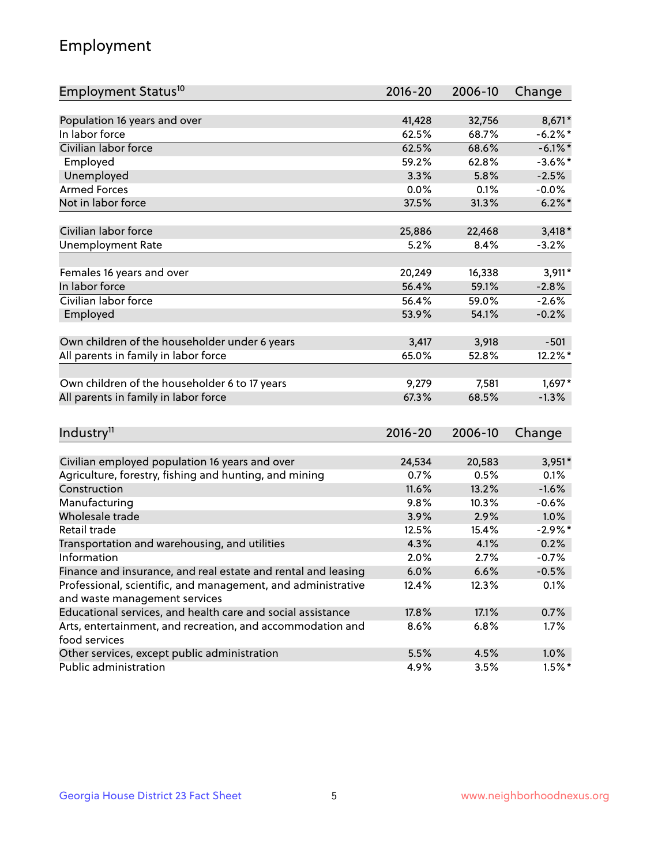## Employment

| Employment Status <sup>10</sup>                               | $2016 - 20$ | 2006-10        | Change     |
|---------------------------------------------------------------|-------------|----------------|------------|
|                                                               |             |                |            |
| Population 16 years and over                                  | 41,428      | 32,756         | 8,671*     |
| In labor force                                                | 62.5%       | 68.7%          | $-6.2\%$ * |
| Civilian labor force                                          | 62.5%       | 68.6%          | $-6.1\%$ * |
| Employed                                                      | 59.2%       | 62.8%          | $-3.6\%$ * |
| Unemployed                                                    | 3.3%        | 5.8%           | $-2.5%$    |
| <b>Armed Forces</b>                                           | 0.0%        | 0.1%           | $-0.0%$    |
| Not in labor force                                            | 37.5%       | 31.3%          | $6.2\%$ *  |
| Civilian labor force                                          | 25,886      | 22,468         | $3,418*$   |
| <b>Unemployment Rate</b>                                      | 5.2%        | 8.4%           | $-3.2%$    |
|                                                               |             |                |            |
| Females 16 years and over                                     | 20,249      | 16,338         | $3,911*$   |
| In labor force                                                | 56.4%       | 59.1%          | $-2.8%$    |
| Civilian labor force                                          | 56.4%       | 59.0%          | $-2.6%$    |
| Employed                                                      | 53.9%       | 54.1%          | $-0.2%$    |
| Own children of the householder under 6 years                 | 3,417       | 3,918          | $-501$     |
| All parents in family in labor force                          | 65.0%       | 52.8%          | 12.2%*     |
|                                                               |             |                |            |
| Own children of the householder 6 to 17 years                 | 9,279       | 7,581          | 1,697*     |
| All parents in family in labor force                          | 67.3%       | 68.5%          | $-1.3%$    |
|                                                               |             |                |            |
| Industry <sup>11</sup>                                        | $2016 - 20$ | 2006-10        | Change     |
| Civilian employed population 16 years and over                | 24,534      |                | 3,951*     |
| Agriculture, forestry, fishing and hunting, and mining        | 0.7%        | 20,583<br>0.5% | 0.1%       |
| Construction                                                  | 11.6%       | 13.2%          | $-1.6%$    |
| Manufacturing                                                 | 9.8%        | 10.3%          | $-0.6%$    |
| Wholesale trade                                               | 3.9%        | 2.9%           | 1.0%       |
| Retail trade                                                  | 12.5%       | 15.4%          | $-2.9\%$ * |
| Transportation and warehousing, and utilities                 | 4.3%        | 4.1%           | 0.2%       |
| Information                                                   | 2.0%        | 2.7%           | $-0.7%$    |
| Finance and insurance, and real estate and rental and leasing | 6.0%        | 6.6%           | $-0.5%$    |
| Professional, scientific, and management, and administrative  | 12.4%       | 12.3%          | 0.1%       |
| and waste management services                                 |             |                |            |
| Educational services, and health care and social assistance   | 17.8%       | 17.1%          | 0.7%       |
| Arts, entertainment, and recreation, and accommodation and    | 8.6%        | 6.8%           | 1.7%       |
| food services                                                 |             |                |            |
| Other services, except public administration                  | 5.5%        | 4.5%           | 1.0%       |
| Public administration                                         | 4.9%        | 3.5%           | $1.5%$ *   |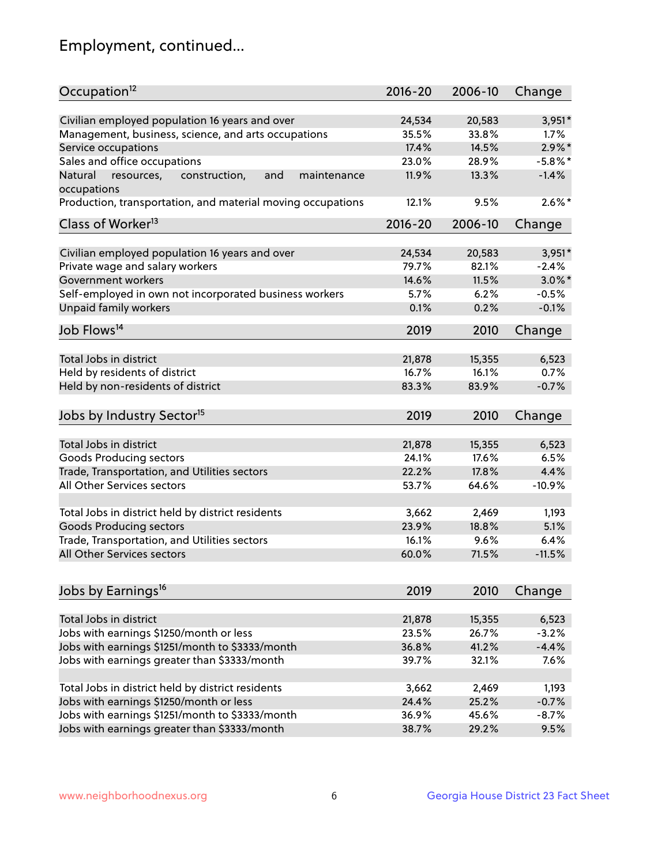## Employment, continued...

| Occupation <sup>12</sup>                                                    | $2016 - 20$ | 2006-10 | Change     |
|-----------------------------------------------------------------------------|-------------|---------|------------|
| Civilian employed population 16 years and over                              | 24,534      | 20,583  | $3,951*$   |
| Management, business, science, and arts occupations                         | 35.5%       | 33.8%   | $1.7\%$    |
| Service occupations                                                         | 17.4%       | 14.5%   | $2.9\%$ *  |
| Sales and office occupations                                                | 23.0%       | 28.9%   | $-5.8\%$ * |
|                                                                             |             |         | $-1.4%$    |
| Natural<br>and<br>resources,<br>construction,<br>maintenance<br>occupations | 11.9%       | 13.3%   |            |
| Production, transportation, and material moving occupations                 | 12.1%       | 9.5%    | $2.6\%$ *  |
| Class of Worker <sup>13</sup>                                               | $2016 - 20$ | 2006-10 | Change     |
|                                                                             |             |         |            |
| Civilian employed population 16 years and over                              | 24,534      | 20,583  | $3,951*$   |
| Private wage and salary workers                                             | 79.7%       | 82.1%   | $-2.4%$    |
| Government workers                                                          | 14.6%       | 11.5%   | $3.0\%$ *  |
| Self-employed in own not incorporated business workers                      | 5.7%        | 6.2%    | $-0.5%$    |
| <b>Unpaid family workers</b>                                                | 0.1%        | 0.2%    | $-0.1%$    |
| Job Flows <sup>14</sup>                                                     | 2019        | 2010    | Change     |
|                                                                             |             |         |            |
| Total Jobs in district                                                      | 21,878      | 15,355  | 6,523      |
| Held by residents of district                                               | 16.7%       | 16.1%   | 0.7%       |
| Held by non-residents of district                                           | 83.3%       | 83.9%   | $-0.7%$    |
| Jobs by Industry Sector <sup>15</sup>                                       | 2019        | 2010    | Change     |
|                                                                             |             |         |            |
| Total Jobs in district                                                      | 21,878      | 15,355  | 6,523      |
| Goods Producing sectors                                                     | 24.1%       | 17.6%   | 6.5%       |
| Trade, Transportation, and Utilities sectors                                | 22.2%       | 17.8%   | 4.4%       |
| All Other Services sectors                                                  | 53.7%       | 64.6%   | $-10.9%$   |
| Total Jobs in district held by district residents                           | 3,662       | 2,469   | 1,193      |
| <b>Goods Producing sectors</b>                                              | 23.9%       | 18.8%   | 5.1%       |
| Trade, Transportation, and Utilities sectors                                | 16.1%       | 9.6%    | 6.4%       |
| All Other Services sectors                                                  | 60.0%       | 71.5%   | $-11.5%$   |
|                                                                             |             |         |            |
| Jobs by Earnings <sup>16</sup>                                              | 2019        | 2010    | Change     |
|                                                                             |             |         |            |
| Total Jobs in district                                                      | 21,878      | 15,355  | 6,523      |
| Jobs with earnings \$1250/month or less                                     | 23.5%       | 26.7%   | $-3.2%$    |
| Jobs with earnings \$1251/month to \$3333/month                             | 36.8%       | 41.2%   | $-4.4%$    |
| Jobs with earnings greater than \$3333/month                                | 39.7%       | 32.1%   | 7.6%       |
| Total Jobs in district held by district residents                           | 3,662       | 2,469   | 1,193      |
| Jobs with earnings \$1250/month or less                                     | 24.4%       | 25.2%   | $-0.7%$    |
| Jobs with earnings \$1251/month to \$3333/month                             | 36.9%       | 45.6%   | $-8.7%$    |
| Jobs with earnings greater than \$3333/month                                | 38.7%       | 29.2%   | 9.5%       |
|                                                                             |             |         |            |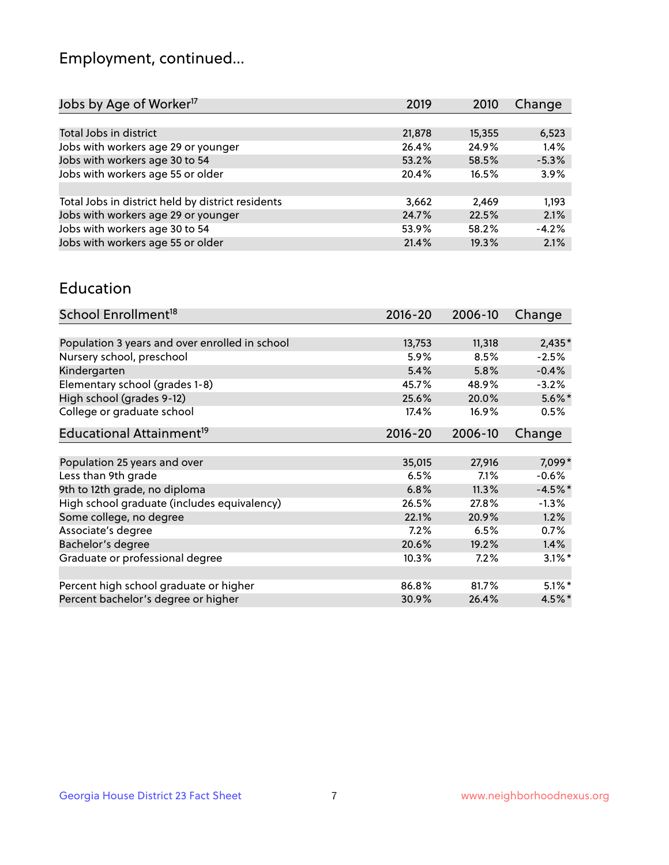## Employment, continued...

| 6,523   |
|---------|
| 1.4%    |
| $-5.3%$ |
| 3.9%    |
|         |
| 1,193   |
| 2.1%    |
| $-4.2%$ |
| 2.1%    |
|         |

#### Education

| School Enrollment <sup>18</sup>                | $2016 - 20$ | 2006-10 | Change    |
|------------------------------------------------|-------------|---------|-----------|
|                                                |             |         |           |
| Population 3 years and over enrolled in school | 13,753      | 11,318  | $2,435*$  |
| Nursery school, preschool                      | 5.9%        | 8.5%    | $-2.5%$   |
| Kindergarten                                   | 5.4%        | 5.8%    | $-0.4%$   |
| Elementary school (grades 1-8)                 | 45.7%       | 48.9%   | $-3.2%$   |
| High school (grades 9-12)                      | 25.6%       | 20.0%   | $5.6\%$ * |
| College or graduate school                     | 17.4%       | 16.9%   | 0.5%      |
| Educational Attainment <sup>19</sup>           | $2016 - 20$ | 2006-10 | Change    |
|                                                |             |         |           |
| Population 25 years and over                   | 35,015      | 27,916  | 7,099*    |
| Less than 9th grade                            | 6.5%        | $7.1\%$ | $-0.6%$   |
| 9th to 12th grade, no diploma                  | 6.8%        | 11.3%   | $-4.5%$ * |
| High school graduate (includes equivalency)    | 26.5%       | 27.8%   | $-1.3\%$  |
| Some college, no degree                        | 22.1%       | 20.9%   | 1.2%      |
| Associate's degree                             | 7.2%        | 6.5%    | 0.7%      |
| Bachelor's degree                              | 20.6%       | 19.2%   | $1.4\%$   |
| Graduate or professional degree                | 10.3%       | 7.2%    | $3.1\%$ * |
|                                                |             |         |           |
| Percent high school graduate or higher         | 86.8%       | 81.7%   | $5.1\%$ * |
| Percent bachelor's degree or higher            | 30.9%       | 26.4%   | 4.5%*     |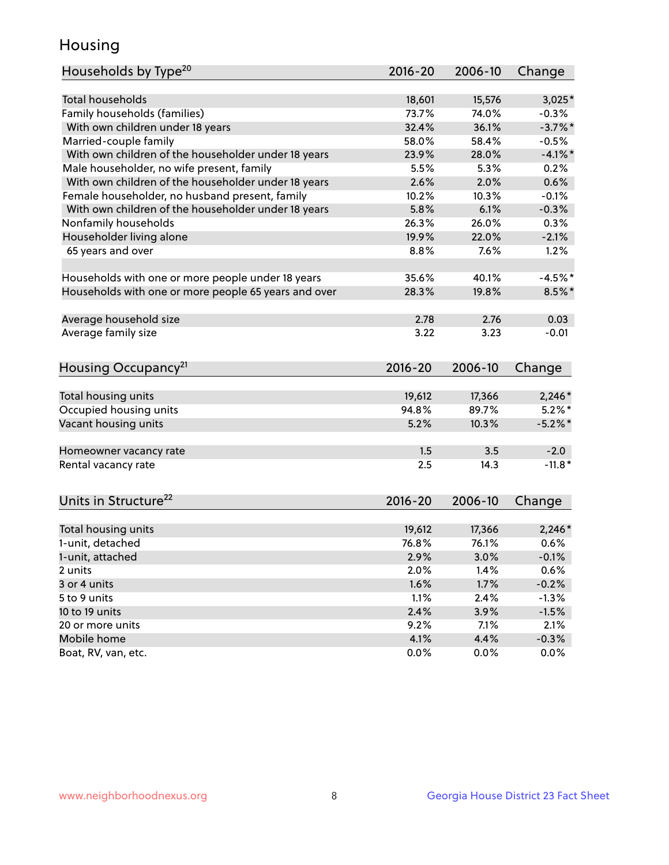## Housing

| Households by Type <sup>20</sup>                     | 2016-20      | 2006-10      | Change     |
|------------------------------------------------------|--------------|--------------|------------|
|                                                      |              |              |            |
| Total households                                     | 18,601       | 15,576       | $3,025*$   |
| Family households (families)                         | 73.7%        | 74.0%        | $-0.3%$    |
| With own children under 18 years                     | 32.4%        | 36.1%        | $-3.7\%$ * |
| Married-couple family                                | 58.0%        | 58.4%        | $-0.5%$    |
| With own children of the householder under 18 years  | 23.9%        | 28.0%        | $-4.1%$ *  |
| Male householder, no wife present, family            | 5.5%         | 5.3%         | 0.2%       |
| With own children of the householder under 18 years  | 2.6%         | 2.0%         | 0.6%       |
| Female householder, no husband present, family       | 10.2%        | 10.3%        | $-0.1%$    |
| With own children of the householder under 18 years  | 5.8%         | 6.1%         | $-0.3%$    |
| Nonfamily households                                 | 26.3%        | 26.0%        | 0.3%       |
| Householder living alone                             | 19.9%        | 22.0%        | $-2.1%$    |
| 65 years and over                                    | 8.8%         | 7.6%         | 1.2%       |
|                                                      |              |              |            |
| Households with one or more people under 18 years    | 35.6%        | 40.1%        | $-4.5%$ *  |
| Households with one or more people 65 years and over | 28.3%        | 19.8%        | $8.5\%$ *  |
|                                                      |              |              |            |
| Average household size                               | 2.78         | 2.76         | 0.03       |
| Average family size                                  | 3.22         | 3.23         | $-0.01$    |
|                                                      |              |              |            |
| Housing Occupancy <sup>21</sup>                      | $2016 - 20$  | 2006-10      | Change     |
|                                                      |              |              |            |
| Total housing units                                  | 19,612       | 17,366       | $2,246*$   |
| Occupied housing units                               | 94.8%        | 89.7%        | $5.2\%$ *  |
| Vacant housing units                                 | 5.2%         | 10.3%        | $-5.2\%$ * |
|                                                      |              |              |            |
| Homeowner vacancy rate                               | 1.5          | 3.5          | $-2.0$     |
| Rental vacancy rate                                  | 2.5          | 14.3         | $-11.8*$   |
|                                                      |              |              |            |
| Units in Structure <sup>22</sup>                     | $2016 - 20$  | 2006-10      |            |
|                                                      |              |              | Change     |
| Total housing units                                  | 19,612       | 17,366       | $2,246*$   |
| 1-unit, detached                                     | 76.8%        | 76.1%        | 0.6%       |
| 1-unit, attached                                     | 2.9%         | 3.0%         | $-0.1%$    |
| 2 units                                              | 2.0%         | 1.4%         | 0.6%       |
| 3 or 4 units                                         | 1.6%         | 1.7%         | $-0.2%$    |
| 5 to 9 units                                         | 1.1%         | 2.4%         | $-1.3%$    |
|                                                      | 2.4%         |              |            |
| 10 to 19 units<br>20 or more units                   |              | 3.9%         | $-1.5%$    |
| Mobile home                                          | 9.2%<br>4.1% | 7.1%<br>4.4% | 2.1%       |
|                                                      |              |              | $-0.3%$    |
| Boat, RV, van, etc.                                  | 0.0%         | 0.0%         | 0.0%       |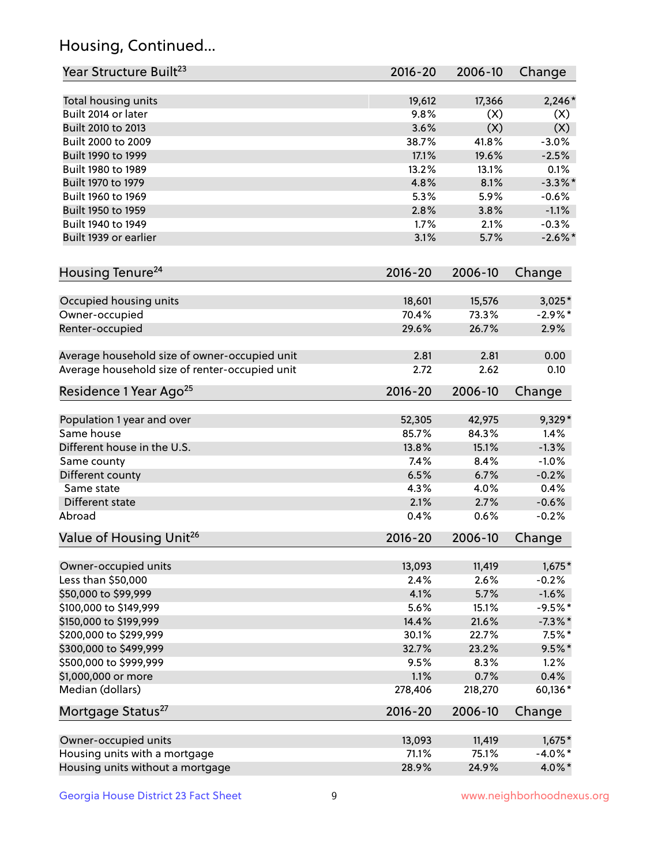## Housing, Continued...

| Year Structure Built <sup>23</sup>             | 2016-20     | 2006-10 | Change     |
|------------------------------------------------|-------------|---------|------------|
| Total housing units                            | 19,612      | 17,366  | $2,246*$   |
| Built 2014 or later                            | 9.8%        | (X)     | (X)        |
| Built 2010 to 2013                             | 3.6%        | (X)     | (X)        |
| Built 2000 to 2009                             | 38.7%       | 41.8%   | $-3.0%$    |
| Built 1990 to 1999                             | 17.1%       | 19.6%   | $-2.5%$    |
| Built 1980 to 1989                             | 13.2%       | 13.1%   | 0.1%       |
| Built 1970 to 1979                             | 4.8%        | 8.1%    | $-3.3\%$ * |
| Built 1960 to 1969                             | 5.3%        | 5.9%    | $-0.6%$    |
| Built 1950 to 1959                             | 2.8%        | 3.8%    | $-1.1%$    |
| Built 1940 to 1949                             | 1.7%        | 2.1%    | $-0.3%$    |
| Built 1939 or earlier                          | 3.1%        | 5.7%    | $-2.6\%$ * |
| Housing Tenure <sup>24</sup>                   | $2016 - 20$ | 2006-10 | Change     |
| Occupied housing units                         | 18,601      | 15,576  | $3,025*$   |
| Owner-occupied                                 | 70.4%       | 73.3%   | $-2.9%$ *  |
| Renter-occupied                                | 29.6%       | 26.7%   | 2.9%       |
| Average household size of owner-occupied unit  | 2.81        | 2.81    | 0.00       |
| Average household size of renter-occupied unit | 2.72        | 2.62    | 0.10       |
| Residence 1 Year Ago <sup>25</sup>             | 2016-20     | 2006-10 | Change     |
| Population 1 year and over                     | 52,305      | 42,975  | 9,329*     |
| Same house                                     | 85.7%       | 84.3%   | 1.4%       |
| Different house in the U.S.                    | 13.8%       | 15.1%   | $-1.3%$    |
| Same county                                    | 7.4%        | 8.4%    | $-1.0%$    |
| Different county                               | 6.5%        | 6.7%    | $-0.2%$    |
| Same state                                     | 4.3%        | 4.0%    | 0.4%       |
| Different state                                | 2.1%        | 2.7%    | $-0.6%$    |
| Abroad                                         | 0.4%        | 0.6%    | $-0.2%$    |
| Value of Housing Unit <sup>26</sup>            | $2016 - 20$ | 2006-10 | Change     |
| Owner-occupied units                           | 13,093      | 11,419  | $1,675*$   |
| Less than \$50,000                             | 2.4%        | 2.6%    | $-0.2%$    |
| \$50,000 to \$99,999                           | 4.1%        | 5.7%    | $-1.6%$    |
| \$100,000 to \$149,999                         | 5.6%        | 15.1%   | $-9.5%$ *  |
| \$150,000 to \$199,999                         | 14.4%       | 21.6%   | $-7.3\%$ * |
| \$200,000 to \$299,999                         | 30.1%       | 22.7%   | $7.5\%$ *  |
| \$300,000 to \$499,999                         | 32.7%       | 23.2%   | $9.5%$ *   |
| \$500,000 to \$999,999                         | 9.5%        | 8.3%    | 1.2%       |
| \$1,000,000 or more                            | 1.1%        | 0.7%    | 0.4%       |
| Median (dollars)                               | 278,406     | 218,270 | 60,136*    |
| Mortgage Status <sup>27</sup>                  | $2016 - 20$ | 2006-10 | Change     |
| Owner-occupied units                           | 13,093      | 11,419  | $1,675*$   |
| Housing units with a mortgage                  | 71.1%       | 75.1%   | $-4.0\%$ * |
| Housing units without a mortgage               | 28.9%       | 24.9%   | 4.0%*      |
|                                                |             |         |            |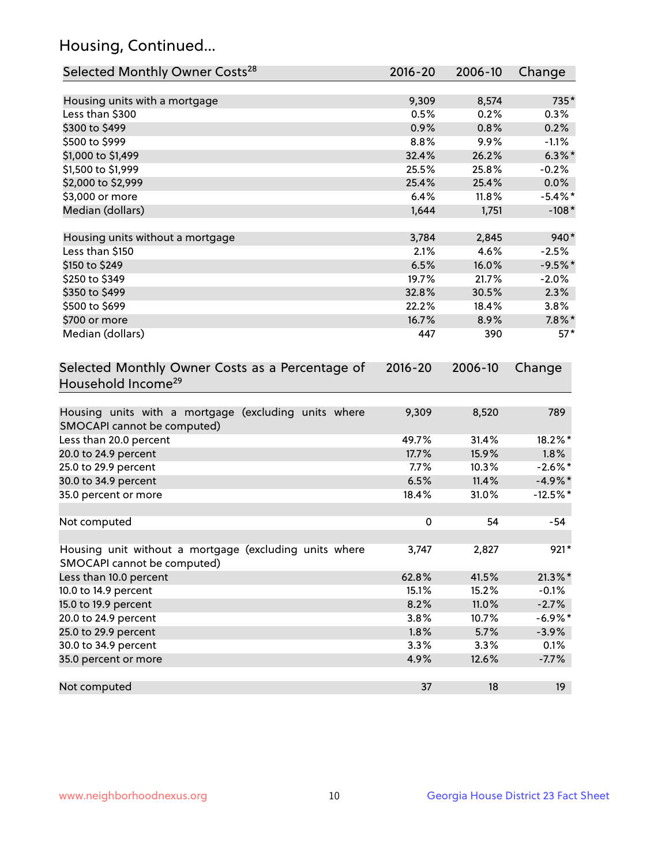## Housing, Continued...

| Selected Monthly Owner Costs <sup>28</sup>                                            | 2016-20     | 2006-10 | Change     |
|---------------------------------------------------------------------------------------|-------------|---------|------------|
| Housing units with a mortgage                                                         | 9,309       | 8,574   | 735*       |
| Less than \$300                                                                       | 0.5%        | 0.2%    | 0.3%       |
| \$300 to \$499                                                                        | 0.9%        | 0.8%    | 0.2%       |
| \$500 to \$999                                                                        | 8.8%        | 9.9%    | $-1.1%$    |
| \$1,000 to \$1,499                                                                    | 32.4%       | 26.2%   | $6.3\%$ *  |
| \$1,500 to \$1,999                                                                    | 25.5%       | 25.8%   | $-0.2%$    |
| \$2,000 to \$2,999                                                                    | 25.4%       | 25.4%   | 0.0%       |
| \$3,000 or more                                                                       | 6.4%        | 11.8%   | $-5.4\%$ * |
| Median (dollars)                                                                      | 1,644       | 1,751   | $-108*$    |
| Housing units without a mortgage                                                      | 3,784       | 2,845   | 940*       |
| Less than \$150                                                                       | 2.1%        | 4.6%    | $-2.5%$    |
| \$150 to \$249                                                                        | 6.5%        | 16.0%   | $-9.5%$ *  |
| \$250 to \$349                                                                        | 19.7%       | 21.7%   | $-2.0%$    |
| \$350 to \$499                                                                        | 32.8%       | 30.5%   | 2.3%       |
| \$500 to \$699                                                                        | 22.2%       | 18.4%   | 3.8%       |
| \$700 or more                                                                         | 16.7%       | 8.9%    | $7.8\%$ *  |
| Median (dollars)                                                                      | 447         | 390     | $57*$      |
| Selected Monthly Owner Costs as a Percentage of<br>Household Income <sup>29</sup>     | $2016 - 20$ | 2006-10 | Change     |
| Housing units with a mortgage (excluding units where<br>SMOCAPI cannot be computed)   | 9,309       | 8,520   | 789        |
| Less than 20.0 percent                                                                | 49.7%       | 31.4%   | 18.2%*     |
| 20.0 to 24.9 percent                                                                  | 17.7%       | 15.9%   | 1.8%       |
| 25.0 to 29.9 percent                                                                  | 7.7%        | 10.3%   | $-2.6\%$ * |
| 30.0 to 34.9 percent                                                                  | 6.5%        | 11.4%   | $-4.9\%$ * |
| 35.0 percent or more                                                                  | 18.4%       | 31.0%   | $-12.5%$ * |
| Not computed                                                                          | $\pmb{0}$   | 54      | $-54$      |
| Housing unit without a mortgage (excluding units where<br>SMOCAPI cannot be computed) | 3,747       | 2,827   | $921*$     |
| Less than 10.0 percent                                                                | 62.8%       | 41.5%   | $21.3\%$ * |
| 10.0 to 14.9 percent                                                                  | 15.1%       | 15.2%   | $-0.1%$    |
| 15.0 to 19.9 percent                                                                  | 8.2%        | 11.0%   | $-2.7%$    |
| 20.0 to 24.9 percent                                                                  | 3.8%        | 10.7%   | $-6.9%$ *  |
| 25.0 to 29.9 percent                                                                  | 1.8%        | 5.7%    | $-3.9%$    |
| 30.0 to 34.9 percent                                                                  | 3.3%        | 3.3%    | 0.1%       |
| 35.0 percent or more                                                                  | 4.9%        | 12.6%   | $-7.7%$    |
| Not computed                                                                          | 37          | 18      | 19         |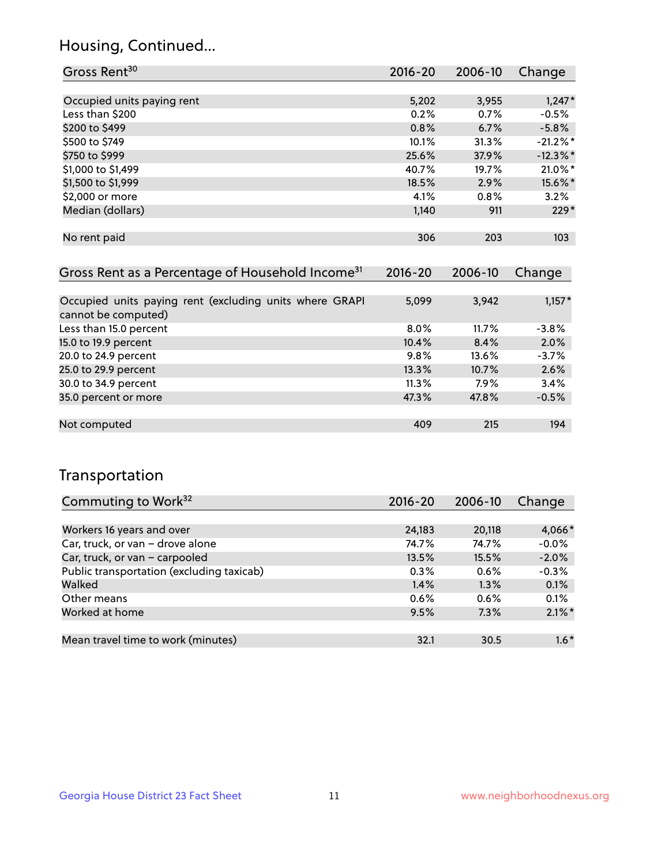## Housing, Continued...

| Gross Rent <sup>30</sup>                                     | 2016-20     | 2006-10     | Change      |
|--------------------------------------------------------------|-------------|-------------|-------------|
|                                                              |             |             |             |
| Occupied units paying rent                                   | 5,202       | 3,955       | $1,247*$    |
| Less than \$200                                              | 0.2%        | 0.7%        | $-0.5%$     |
| \$200 to \$499                                               | 0.8%        | 6.7%        | $-5.8\%$    |
| \$500 to \$749                                               | 10.1%       | 31.3%       | $-21.2\%$ * |
| \$750 to \$999                                               | 25.6%       | 37.9%       | $-12.3%$ *  |
| \$1,000 to \$1,499                                           | 40.7%       | 19.7%       | $21.0\%$ *  |
| \$1,500 to \$1,999                                           | 18.5%       | 2.9%        | 15.6%*      |
| \$2,000 or more                                              | 4.1%        | 0.8%        | 3.2%        |
| Median (dollars)                                             | 1,140       | 911         | $229*$      |
|                                                              |             |             |             |
| No rent paid                                                 | 306         | 203         | 103         |
|                                                              |             |             |             |
| Gross Rent as a Percentage of Household Income <sup>31</sup> | $2016 - 20$ | $2006 - 10$ | Change      |

| <u>UIUSS INCHE QS Q I CILCHILOGO UI HUQSCHUIQ INCUINC</u>                      | LVIV LV | LUUU IU | C        |
|--------------------------------------------------------------------------------|---------|---------|----------|
|                                                                                |         |         |          |
| Occupied units paying rent (excluding units where GRAPI<br>cannot be computed) | 5,099   | 3,942   | $1,157*$ |
| Less than 15.0 percent                                                         | $8.0\%$ | 11.7%   | $-3.8\%$ |
| 15.0 to 19.9 percent                                                           | 10.4%   | 8.4%    | 2.0%     |
| 20.0 to 24.9 percent                                                           | 9.8%    | 13.6%   | $-3.7%$  |
| 25.0 to 29.9 percent                                                           | 13.3%   | 10.7%   | 2.6%     |
| 30.0 to 34.9 percent                                                           | 11.3%   | 7.9%    | 3.4%     |
| 35.0 percent or more                                                           | 47.3%   | 47.8%   | $-0.5%$  |
|                                                                                |         |         |          |
| Not computed                                                                   | 409     | 215     | 194      |

### Transportation

| Commuting to Work <sup>32</sup>           | 2016-20 | 2006-10 | Change    |
|-------------------------------------------|---------|---------|-----------|
|                                           |         |         |           |
| Workers 16 years and over                 | 24,183  | 20,118  | 4,066*    |
| Car, truck, or van - drove alone          | 74.7%   | 74.7%   | $-0.0%$   |
| Car, truck, or van - carpooled            | 13.5%   | 15.5%   | $-2.0%$   |
| Public transportation (excluding taxicab) | 0.3%    | 0.6%    | $-0.3%$   |
| Walked                                    | 1.4%    | 1.3%    | 0.1%      |
| Other means                               | 0.6%    | 0.6%    | 0.1%      |
| Worked at home                            | 9.5%    | 7.3%    | $2.1\%$ * |
|                                           |         |         |           |
| Mean travel time to work (minutes)        | 32.1    | 30.5    | $1.6*$    |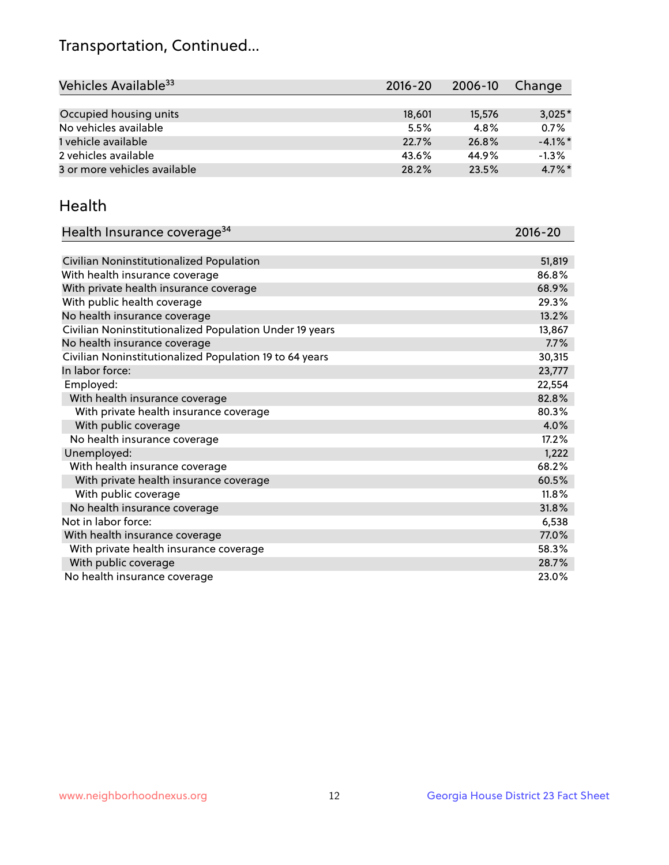## Transportation, Continued...

| Vehicles Available <sup>33</sup> | $2016 - 20$ | $2006 - 10$ | Change     |
|----------------------------------|-------------|-------------|------------|
|                                  |             |             |            |
| Occupied housing units           | 18,601      | 15,576      | $3,025*$   |
| No vehicles available            | 5.5%        | 4.8%        | 0.7%       |
| 1 vehicle available              | 22.7%       | 26.8%       | $-4.1\%$ * |
| 2 vehicles available             | 43.6%       | 44.9%       | $-1.3%$    |
| 3 or more vehicles available     | 28.2%       | 23.5%       | $4.7\%$ *  |

#### Health

| Health Insurance coverage <sup>34</sup>                 | 2016-20 |
|---------------------------------------------------------|---------|
|                                                         |         |
| Civilian Noninstitutionalized Population                | 51,819  |
| With health insurance coverage                          | 86.8%   |
| With private health insurance coverage                  | 68.9%   |
| With public health coverage                             | 29.3%   |
| No health insurance coverage                            | 13.2%   |
| Civilian Noninstitutionalized Population Under 19 years | 13,867  |
| No health insurance coverage                            | 7.7%    |
| Civilian Noninstitutionalized Population 19 to 64 years | 30,315  |
| In labor force:                                         | 23,777  |
| Employed:                                               | 22,554  |
| With health insurance coverage                          | 82.8%   |
| With private health insurance coverage                  | 80.3%   |
| With public coverage                                    | 4.0%    |
| No health insurance coverage                            | 17.2%   |
| Unemployed:                                             | 1,222   |
| With health insurance coverage                          | 68.2%   |
| With private health insurance coverage                  | 60.5%   |
| With public coverage                                    | 11.8%   |
| No health insurance coverage                            | 31.8%   |
| Not in labor force:                                     | 6,538   |
| With health insurance coverage                          | 77.0%   |
| With private health insurance coverage                  | 58.3%   |
| With public coverage                                    | 28.7%   |
| No health insurance coverage                            | 23.0%   |